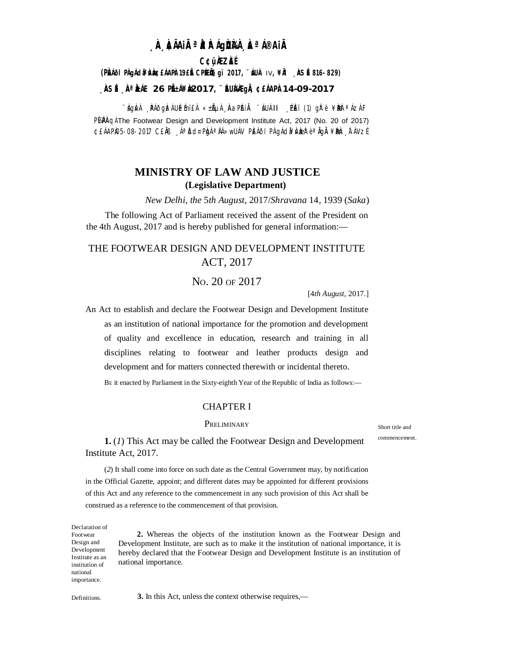# **¸ÀA¸À¢ÃAiÀÄ ªÀåªÀºÁgÀUÀ¼À ¸ÀaªÁ®AiÀÄ**

## **C¢ü¸ÀÆZÀ£É**

## **(PÀ£ÁðlPÀ gÁdå¥ÀvÀæ ¢£ÁAPÀ: 19£Éà CPÉÆ Öçgï 2017, ¨sÁUÀ-** IV**, ¥ÀÄl ¸ÀASÉå: 816-829)**

### **¸ÀASÉå: ¸ÀAªÀå±ÁE 26 PÉñÁ¥Àæ 2017, ¨ÉAUÀ¼ÀÆgÀÄ, ¢£ÁAPÀ: 14-09-2017**

¨ÁgÀ⁄À ¸ÀÃÕgÌZ À UÉÉmï£À «±ÃµÀ¸ÀAa PÁIĂ ¨ÁUÀ-II ¸PÈï (1) gÌ? è ¥ ÀæÞ ªÁz À F PlaPAq The Footwear Design and Development Institute Act, 2017 (No. 20 of 2017) ¢£ÁAPÀ05-08-2017 C£ĂB ¸ÁªĎd¤PÀgÀªÀÁ≫wUÁV PÈÁðIPÀ gÁdã¥Àv ÀæÈ° ªÄgÀ ¥ÀBÀen, ÀTÁVZÉ

# **MINISTRY OF LAW AND JUSTICE (Legislative Department)**

*New Delhi, the* 5*th August,* 2017/*Shravana* 14*,* 1939 (*Saka*)

The following Act of Parliament received the assent of the President on the 4th August, 2017 and is hereby published for general information:—

# THE FOOTWEAR DESIGN AND DEVELOPMENT INSTITUTE ACT, 2017

## NO. 20 OF 2017

[4*th August,* 2017.]

An Act to establish and declare the Footwear Design and Development Institute as an institution of national importance for the promotion and development of quality and excellence in education, research and training in all disciplines relating to footwear and leather products design and development and for matters connected therewith or incidental thereto.

BE it enacted by Parliament in the Sixty-eighth Year of the Republic of India as follows:—

#### CHAPTER I

#### **PRELIMINARY**

Short title and commencement.

**1.** (*1*) This Act may be called the Footwear Design and Development Institute Act, 2017.

(*2*) It shall come into force on such date as the Central Government may, by notification in the Official Gazette, appoint; and different dates may be appointed for different provisions of this Act and any reference to the commencement in any such provision of this Act shall be construed as a reference to the commencement of that provision.

Declaration of Footwear Design and Development Institute as an institution of national **2.** Whereas the objects of the institution known as the Footwear Design and Development Institute, are such as to make it the institution of national importance, it is hereby declared that the Footwear Design and Development Institute is an institution of national importance.

importance.

Definitions. **3.** In this Act, unless the context otherwise requires,—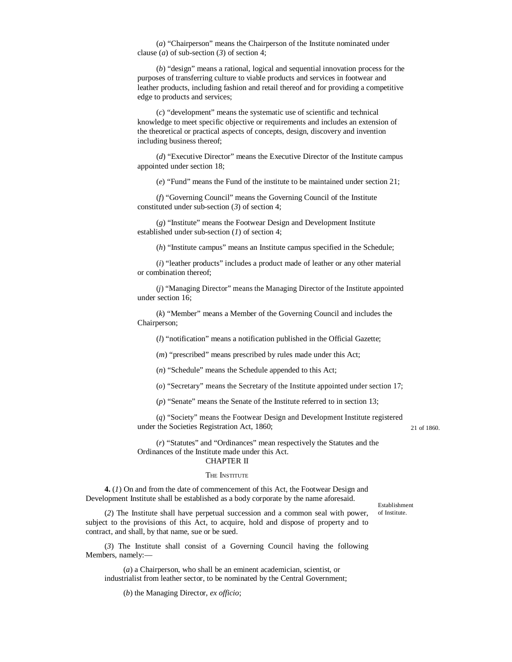(*a*) "Chairperson" means the Chairperson of the Institute nominated under clause (*a*) of sub-section (*3*) of section 4;

(*b*) "design" means a rational, logical and sequential innovation process for the purposes of transferring culture to viable products and services in footwear and leather products, including fashion and retail thereof and for providing a competitive edge to products and services;

(*c*) "development" means the systematic use of scientific and technical knowledge to meet specific objective or requirements and includes an extension of the theoretical or practical aspects of concepts, design, discovery and invention including business thereof;

(*d*) "Executive Director" means the Executive Director of the Institute campus appointed under section 18;

(*e*) "Fund" means the Fund of the institute to be maintained under section 21;

(*f*) "Governing Council" means the Governing Council of the Institute constituted under sub-section (*3*) of section 4;

(*g*) "Institute" means the Footwear Design and Development Institute established under sub-section (*1*) of section 4;

(*h*) "Institute campus" means an Institute campus specified in the Schedule;

(*i*) "leather products" includes a product made of leather or any other material or combination thereof;

(*j*) "Managing Director" means the Managing Director of the Institute appointed under section 16;

(*k*) "Member" means a Member of the Governing Council and includes the Chairperson;

(*l*) "notification" means a notification published in the Official Gazette;

(*m*) "prescribed" means prescribed by rules made under this Act;

(*n*) "Schedule" means the Schedule appended to this Act;

(*o*) "Secretary" means the Secretary of the Institute appointed under section 17;

(*p*) "Senate" means the Senate of the Institute referred to in section 13;

(*q*) "Society" means the Footwear Design and Development Institute registered under the Societies Registration Act, 1860; 21 of 1860.

(*r*) "Statutes" and "Ordinances" mean respectively the Statutes and the Ordinances of the Institute made under this Act. CHAPTER II

#### THE **INSTITUTE**

**4.** (*1*) On and from the date of commencement of this Act, the Footwear Design and Development Institute shall be established as a body corporate by the name aforesaid.

Establishment of Institute.

(*2*) The Institute shall have perpetual succession and a common seal with power, subject to the provisions of this Act, to acquire, hold and dispose of property and to contract, and shall, by that name, sue or be sued.

(*3*) The Institute shall consist of a Governing Council having the following Members, namely:—

(*a*) a Chairperson, who shall be an eminent academician, scientist, or industrialist from leather sector, to be nominated by the Central Government;

(*b*) the Managing Director, *ex officio*;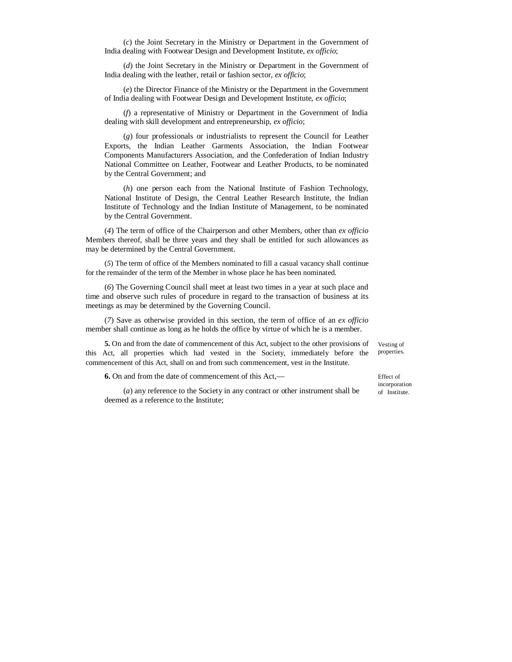(*c*) the Joint Secretary in the Ministry or Department in the Government of India dealing with Footwear Design and Development Institute, *ex officio*;

(*d*) the Joint Secretary in the Ministry or Department in the Government of India dealing with the leather, retail or fashion sector, *ex officio*;

(*e*) the Director Finance of the Ministry or the Department in the Government of India dealing with Footwear Design and Development Institute, *ex officio*;

(*f*) a representative of Ministry or Department in the Government of India dealing with skill development and entrepreneurship, *ex officio*;

(*g*) four professionals or industrialists to represent the Council for Leather Exports, the Indian Leather Garments Association, the Indian Footwear Components Manufacturers Association, and the Confederation of Indian Industry National Committee on Leather, Footwear and Leather Products, to be nominated by the Central Government; and

(*h*) one person each from the National Institute of Fashion Technology, National Institute of Design, the Central Leather Research Institute, the Indian Institute of Technology and the Indian Institute of Management, to be nominated by the Central Government.

(*4*) The term of office of the Chairperson and other Members, other than *ex officio* Members thereof, shall be three years and they shall be entitled for such allowances as may be determined by the Central Government.

(*5*) The term of office of the Members nominated to fill a casual vacancy shall continue for the remainder of the term of the Member in whose place he has been nominated.

(*6*) The Governing Council shall meet at least two times in a year at such place and time and observe such rules of procedure in regard to the transaction of business at its meetings as may be determined by the Governing Council.

(*7*) Save as otherwise provided in this section, the term of office of an *ex officio* member shall continue as long as he holds the office by virtue of which he is a member.

**5.** On and from the date of commencement of this Act, subject to the other provisions of this Act, all properties which had vested in the Society, immediately before the commencement of this Act, shall on and from such commencement, vest in the Institute.

**6.** On and from the date of commencement of this Act,—

(*a*) any reference to the Society in any contract or other instrument shall be deemed as a reference to the Institute;

Vesting of properties.

Effect of incorporation of Institute.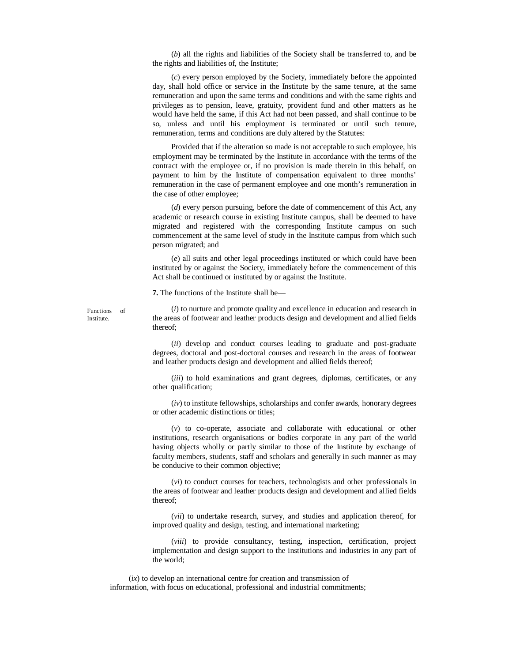(*b*) all the rights and liabilities of the Society shall be transferred to, and be the rights and liabilities of, the Institute;

(*c*) every person employed by the Society, immediately before the appointed day, shall hold office or service in the Institute by the same tenure, at the same remuneration and upon the same terms and conditions and with the same rights and privileges as to pension, leave, gratuity, provident fund and other matters as he would have held the same, if this Act had not been passed, and shall continue to be so, unless and until his employment is terminated or until such tenure, remuneration, terms and conditions are duly altered by the Statutes:

Provided that if the alteration so made is not acceptable to such employee, his employment may be terminated by the Institute in accordance with the terms of the contract with the employee or, if no provision is made therein in this behalf, on payment to him by the Institute of compensation equivalent to three months' remuneration in the case of permanent employee and one month's remuneration in the case of other employee;

(*d*) every person pursuing, before the date of commencement of this Act, any academic or research course in existing Institute campus, shall be deemed to have migrated and registered with the corresponding Institute campus on such commencement at the same level of study in the Institute campus from which such person migrated; and

(*e*) all suits and other legal proceedings instituted or which could have been instituted by or against the Society, immediately before the commencement of this Act shall be continued or instituted by or against the Institute.

**7.** The functions of the Institute shall be—

Functions of Institute.

(*i*) to nurture and promote quality and excellence in education and research in the areas of footwear and leather products design and development and allied fields thereof;

(*ii*) develop and conduct courses leading to graduate and post-graduate degrees, doctoral and post-doctoral courses and research in the areas of footwear and leather products design and development and allied fields thereof;

(*iii*) to hold examinations and grant degrees, diplomas, certificates, or any other qualification;

(*iv*) to institute fellowships, scholarships and confer awards, honorary degrees or other academic distinctions or titles;

(*v*) to co-operate, associate and collaborate with educational or other institutions, research organisations or bodies corporate in any part of the world having objects wholly or partly similar to those of the Institute by exchange of faculty members, students, staff and scholars and generally in such manner as may be conducive to their common objective;

(*vi*) to conduct courses for teachers, technologists and other professionals in the areas of footwear and leather products design and development and allied fields thereof;

(*vii*) to undertake research, survey, and studies and application thereof, for improved quality and design, testing, and international marketing;

(*viii*) to provide consultancy, testing, inspection, certification, project implementation and design support to the institutions and industries in any part of the world;

(*ix*) to develop an international centre for creation and transmission of information, with focus on educational, professional and industrial commitments;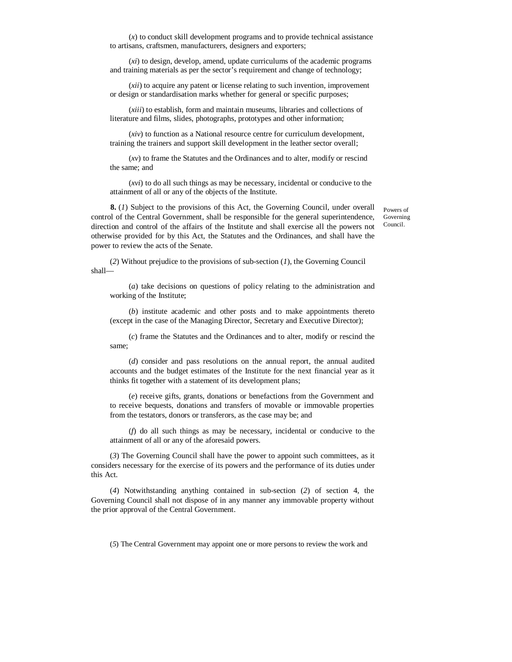(*x*) to conduct skill development programs and to provide technical assistance to artisans, craftsmen, manufacturers, designers and exporters;

(*xi*) to design, develop, amend, update curriculums of the academic programs and training materials as per the sector's requirement and change of technology;

(*xii*) to acquire any patent or license relating to such invention, improvement or design or standardisation marks whether for general or specific purposes;

(*xiii*) to establish, form and maintain museums, libraries and collections of literature and films, slides, photographs, prototypes and other information;

(*xiv*) to function as a National resource centre for curriculum development, training the trainers and support skill development in the leather sector overall;

(*xv*) to frame the Statutes and the Ordinances and to alter, modify or rescind the same; and

(*xvi*) to do all such things as may be necessary, incidental or conducive to the attainment of all or any of the objects of the Institute.

**8.** (*1*) Subject to the provisions of this Act, the Governing Council, under overall control of the Central Government, shall be responsible for the general superintendence, direction and control of the affairs of the Institute and shall exercise all the powers not otherwise provided for by this Act, the Statutes and the Ordinances, and shall have the power to review the acts of the Senate.

Powers of Governing Council.

(*2*) Without prejudice to the provisions of sub-section (*1*), the Governing Council shall—

(*a*) take decisions on questions of policy relating to the administration and working of the Institute;

(*b*) institute academic and other posts and to make appointments thereto (except in the case of the Managing Director, Secretary and Executive Director);

(*c*) frame the Statutes and the Ordinances and to alter, modify or rescind the same;

(*d*) consider and pass resolutions on the annual report, the annual audited accounts and the budget estimates of the Institute for the next financial year as it thinks fit together with a statement of its development plans;

(*e*) receive gifts, grants, donations or benefactions from the Government and to receive bequests, donations and transfers of movable or immovable properties from the testators, donors or transferors, as the case may be; and

(*f*) do all such things as may be necessary, incidental or conducive to the attainment of all or any of the aforesaid powers.

(*3*) The Governing Council shall have the power to appoint such committees, as it considers necessary for the exercise of its powers and the performance of its duties under this Act.

(*4*) Notwithstanding anything contained in sub-section (*2*) of section 4, the Governing Council shall not dispose of in any manner any immovable property without the prior approval of the Central Government.

(*5*) The Central Government may appoint one or more persons to review the work and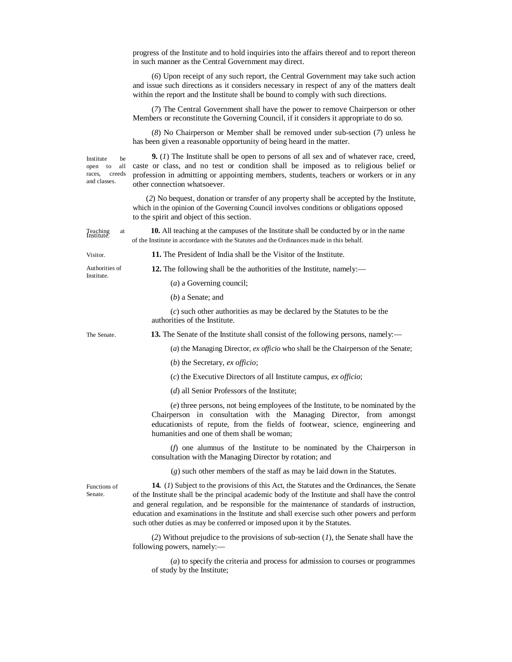|                                                                       | progress of the Institute and to hold inquiries into the affairs thereof and to report thereon<br>in such manner as the Central Government may direct.                                                                                                                                                                                                                                                                                                                      |  |  |  |
|-----------------------------------------------------------------------|-----------------------------------------------------------------------------------------------------------------------------------------------------------------------------------------------------------------------------------------------------------------------------------------------------------------------------------------------------------------------------------------------------------------------------------------------------------------------------|--|--|--|
|                                                                       | (6) Upon receipt of any such report, the Central Government may take such action<br>and issue such directions as it considers necessary in respect of any of the matters dealt<br>within the report and the Institute shall be bound to comply with such directions.                                                                                                                                                                                                        |  |  |  |
|                                                                       | (7) The Central Government shall have the power to remove Chairperson or other<br>Members or reconstitute the Governing Council, if it considers it appropriate to do so.                                                                                                                                                                                                                                                                                                   |  |  |  |
|                                                                       | (8) No Chairperson or Member shall be removed under sub-section (7) unless he<br>has been given a reasonable opportunity of being heard in the matter.                                                                                                                                                                                                                                                                                                                      |  |  |  |
| Institute<br>be<br>all<br>open to<br>creeds<br>races,<br>and classes. | <b>9.</b> (1) The Institute shall be open to persons of all sex and of whatever race, creed,<br>caste or class, and no test or condition shall be imposed as to religious belief or<br>profession in admitting or appointing members, students, teachers or workers or in any<br>other connection whatsoever.                                                                                                                                                               |  |  |  |
|                                                                       | (2) No bequest, donation or transfer of any property shall be accepted by the Institute,<br>which in the opinion of the Governing Council involves conditions or obligations opposed<br>to the spirit and object of this section.                                                                                                                                                                                                                                           |  |  |  |
| Teaching<br>Institute.<br>at                                          | <b>10.</b> All teaching at the campuses of the Institute shall be conducted by or in the name<br>of the Institute in accordance with the Statutes and the Ordinances made in this behalf.                                                                                                                                                                                                                                                                                   |  |  |  |
| Visitor.                                                              | 11. The President of India shall be the Visitor of the Institute.                                                                                                                                                                                                                                                                                                                                                                                                           |  |  |  |
| Authorities of                                                        | 12. The following shall be the authorities of the Institute, namely:-                                                                                                                                                                                                                                                                                                                                                                                                       |  |  |  |
| Institute.                                                            | $(a)$ a Governing council;                                                                                                                                                                                                                                                                                                                                                                                                                                                  |  |  |  |
|                                                                       | $(b)$ a Senate; and                                                                                                                                                                                                                                                                                                                                                                                                                                                         |  |  |  |
|                                                                       | $(c)$ such other authorities as may be declared by the Statutes to be the<br>authorities of the Institute.                                                                                                                                                                                                                                                                                                                                                                  |  |  |  |
| The Senate.                                                           | 13. The Senate of the Institute shall consist of the following persons, namely.—                                                                                                                                                                                                                                                                                                                                                                                            |  |  |  |
|                                                                       | (a) the Managing Director, ex officio who shall be the Chairperson of the Senate;                                                                                                                                                                                                                                                                                                                                                                                           |  |  |  |
|                                                                       | $(b)$ the Secretary, ex officio;                                                                                                                                                                                                                                                                                                                                                                                                                                            |  |  |  |
|                                                                       | $(c)$ the Executive Directors of all Institute campus, ex officio;                                                                                                                                                                                                                                                                                                                                                                                                          |  |  |  |
|                                                                       | $(d)$ all Senior Professors of the Institute;                                                                                                                                                                                                                                                                                                                                                                                                                               |  |  |  |
|                                                                       | $(e)$ three persons, not being employees of the Institute, to be nominated by the<br>Chairperson in consultation with the Managing Director, from amongst<br>educationists of repute, from the fields of footwear, science, engineering and<br>humanities and one of them shall be woman;                                                                                                                                                                                   |  |  |  |
|                                                                       | $(f)$ one alumnus of the Institute to be nominated by the Chairperson in<br>consultation with the Managing Director by rotation; and                                                                                                                                                                                                                                                                                                                                        |  |  |  |
|                                                                       | $(g)$ such other members of the staff as may be laid down in the Statutes.                                                                                                                                                                                                                                                                                                                                                                                                  |  |  |  |
| Functions of<br>Senate.                                               | 14. (1) Subject to the provisions of this Act, the Statutes and the Ordinances, the Senate<br>of the Institute shall be the principal academic body of the Institute and shall have the control<br>and general regulation, and be responsible for the maintenance of standards of instruction,<br>education and examinations in the Institute and shall exercise such other powers and perform<br>such other duties as may be conferred or imposed upon it by the Statutes. |  |  |  |
|                                                                       | (2) Without prejudice to the provisions of sub-section $(I)$ , the Senate shall have the<br>following powers, namely:-                                                                                                                                                                                                                                                                                                                                                      |  |  |  |
|                                                                       | $(a)$ to specify the criteria and process for admission to courses or programmes<br>of study by the Institute;                                                                                                                                                                                                                                                                                                                                                              |  |  |  |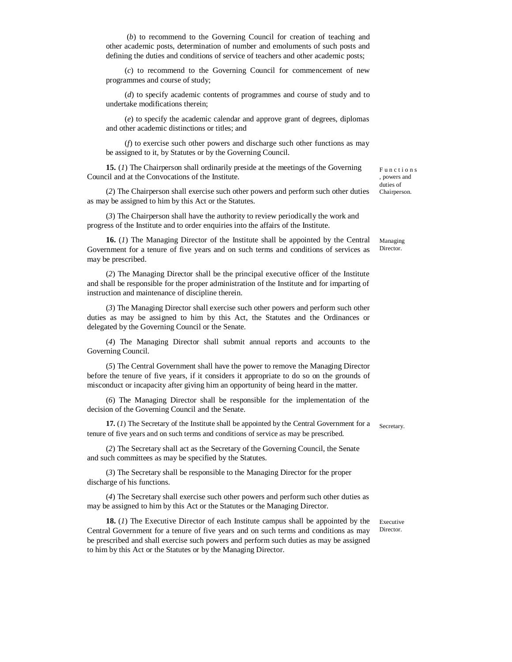(*b*) to recommend to the Governing Council for creation of teaching and other academic posts, determination of number and emoluments of such posts and defining the duties and conditions of service of teachers and other academic posts;

(*c*) to recommend to the Governing Council for commencement of new programmes and course of study;

(*d*) to specify academic contents of programmes and course of study and to undertake modifications therein;

(*e*) to specify the academic calendar and approve grant of degrees, diplomas and other academic distinctions or titles; and

(*f*) to exercise such other powers and discharge such other functions as may be assigned to it, by Statutes or by the Governing Council.

**15.** (*1*) The Chairperson shall ordinarily preside at the meetings of the Governing Council and at the Convocations of the Institute.

(*2*) The Chairperson shall exercise such other powers and perform such other duties as may be assigned to him by this Act or the Statutes.

(*3*) The Chairperson shall have the authority to review periodically the work and progress of the Institute and to order enquiries into the affairs of the Institute.

**16.** (*1*) The Managing Director of the Institute shall be appointed by the Central Government for a tenure of five years and on such terms and conditions of services as may be prescribed.

(*2*) The Managing Director shall be the principal executive officer of the Institute and shall be responsible for the proper administration of the Institute and for imparting of instruction and maintenance of discipline therein.

(*3*) The Managing Director shall exercise such other powers and perform such other duties as may be assigned to him by this Act, the Statutes and the Ordinances or delegated by the Governing Council or the Senate.

(*4*) The Managing Director shall submit annual reports and accounts to the Governing Council.

(*5*) The Central Government shall have the power to remove the Managing Director before the tenure of five years, if it considers it appropriate to do so on the grounds of misconduct or incapacity after giving him an opportunity of being heard in the matter.

(*6*) The Managing Director shall be responsible for the implementation of the decision of the Governing Council and the Senate.

**17.** (*1*) The Secretary of the Institute shall be appointed by the Central Government for a Secretary. tenure of five years and on such terms and conditions of service as may be prescribed.

(*2*) The Secretary shall act as the Secretary of the Governing Council, the Senate and such committees as may be specified by the Statutes.

(*3*) The Secretary shall be responsible to the Managing Director for the proper discharge of his functions.

(*4*) The Secretary shall exercise such other powers and perform such other duties as may be assigned to him by this Act or the Statutes or the Managing Director.

**18.** (*1*) The Executive Director of each Institute campus shall be appointed by the Central Government for a tenure of five years and on such terms and conditions as may be prescribed and shall exercise such powers and perform such duties as may be assigned to him by this Act or the Statutes or by the Managing Director.

F u n c t i o n s , powers and duties of Chairperson.

Managing Director.

Executive Director.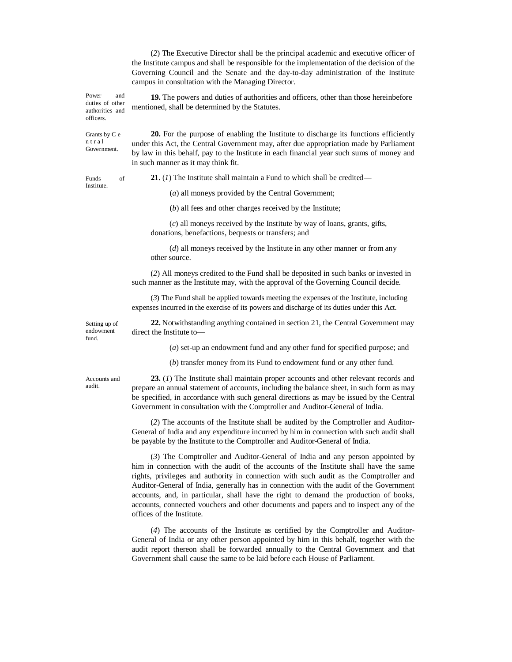(*2*) The Executive Director shall be the principal academic and executive officer of the Institute campus and shall be responsible for the implementation of the decision of the Governing Council and the Senate and the day-to-day administration of the Institute campus in consultation with the Managing Director.

Power and duties of other authorities and **19.** The powers and duties of authorities and officers, other than those hereinbefore mentioned, shall be determined by the Statutes.

> **20.** For the purpose of enabling the Institute to discharge its functions efficiently under this Act, the Central Government may, after due appropriation made by Parliament by law in this behalf, pay to the Institute in each financial year such sums of money and in such manner as it may think fit.

Institute.

Grants by C e n t r a l Government.

officers.

Funds of **21.** (*l*) The Institute shall maintain a Fund to which shall be credited—

(*a*) all moneys provided by the Central Government;

(*b*) all fees and other charges received by the Institute;

(*c*) all moneys received by the Institute by way of loans, grants, gifts, donations, benefactions, bequests or transfers; and

(*d*) all moneys received by the Institute in any other manner or from any other source.

(*2*) All moneys credited to the Fund shall be deposited in such banks or invested in such manner as the Institute may, with the approval of the Governing Council decide.

(*3*) The Fund shall be applied towards meeting the expenses of the Institute, including expenses incurred in the exercise of its powers and discharge of its duties under this Act.

Setting up of endowment fund.

**22.** Notwithstanding anything contained in section 21, the Central Government may direct the Institute to—

(*a*) set-up an endowment fund and any other fund for specified purpose; and

(*b*) transfer money from its Fund to endowment fund or any other fund.

Accounts and audit.

**23.** (*1*) The Institute shall maintain proper accounts and other relevant records and prepare an annual statement of accounts, including the balance sheet, in such form as may be specified, in accordance with such general directions as may be issued by the Central Government in consultation with the Comptroller and Auditor-General of India.

(*2*) The accounts of the Institute shall be audited by the Comptroller and Auditor-General of India and any expenditure incurred by him in connection with such audit shall be payable by the Institute to the Comptroller and Auditor-General of India.

(*3*) The Comptroller and Auditor-General of India and any person appointed by him in connection with the audit of the accounts of the Institute shall have the same rights, privileges and authority in connection with such audit as the Comptroller and Auditor-General of India, generally has in connection with the audit of the Government accounts, and, in particular, shall have the right to demand the production of books, accounts, connected vouchers and other documents and papers and to inspect any of the offices of the Institute.

(*4*) The accounts of the Institute as certified by the Comptroller and Auditor-General of India or any other person appointed by him in this behalf, together with the audit report thereon shall be forwarded annually to the Central Government and that Government shall cause the same to be laid before each House of Parliament.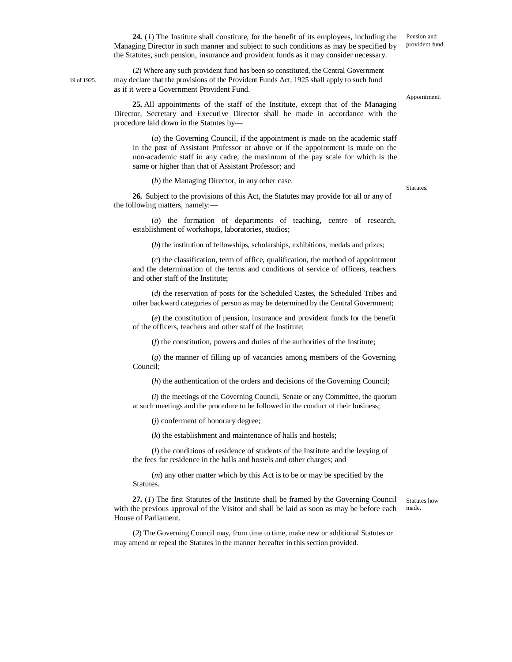**24.** (*1*) The Institute shall constitute, for the benefit of its employees, including the Managing Director in such manner and subject to such conditions as may be specified by the Statutes, such pension, insurance and provident funds as it may consider necessary.

(*2*) Where any such provident fund has been so constituted, the Central Government 19 of 1925. may declare that the provisions of the Provident Funds Act, 1925 shall apply to such fund as if it were a Government Provident Fund.

Appointment.

Statutes.

Pension and provident fund.

**25.** All appointments of the staff of the Institute, except that of the Managing Director, Secretary and Executive Director shall be made in accordance with the procedure laid down in the Statutes by—

(*a*) the Governing Council, if the appointment is made on the academic staff in the post of Assistant Professor or above or if the appointment is made on the non-academic staff in any cadre, the maximum of the pay scale for which is the same or higher than that of Assistant Professor; and

(*b*) the Managing Director, in any other case.

**26.** Subject to the provisions of this Act, the Statutes may provide for all or any of the following matters, namely:—

(*a*) the formation of departments of teaching, centre of research, establishment of workshops, laboratories, studios;

(*b*) the institution of fellowships, scholarships, exhibitions, medals and prizes;

(*c*) the classification, term of office, qualification, the method of appointment and the determination of the terms and conditions of service of officers, teachers and other staff of the Institute;

(*d*) the reservation of posts for the Scheduled Castes, the Scheduled Tribes and other backward categories of person as may be determined by the Central Government;

(*e*) the constitution of pension, insurance and provident funds for the benefit of the officers, teachers and other staff of the Institute;

(*f*) the constitution, powers and duties of the authorities of the Institute;

(*g*) the manner of filling up of vacancies among members of the Governing Council;

(*h*) the authentication of the orders and decisions of the Governing Council;

(*i*) the meetings of the Governing Council, Senate or any Committee, the quorum at such meetings and the procedure to be followed in the conduct of their business;

(*j*) conferment of honorary degree;

(*k*) the establishment and maintenance of halls and hostels;

(*l*) the conditions of residence of students of the Institute and the levying of the fees for residence in the halls and hostels and other charges; and

(*m*) any other matter which by this Act is to be or may be specified by the Statutes.

**27.** (*1*) The first Statutes of the Institute shall be framed by the Governing Council with the previous approval of the Visitor and shall be laid as soon as may be before each House of Parliament.

Statutes how made.

(*2*) The Governing Council may, from time to time, make new or additional Statutes or may amend or repeal the Statutes in the manner hereafter in this section provided.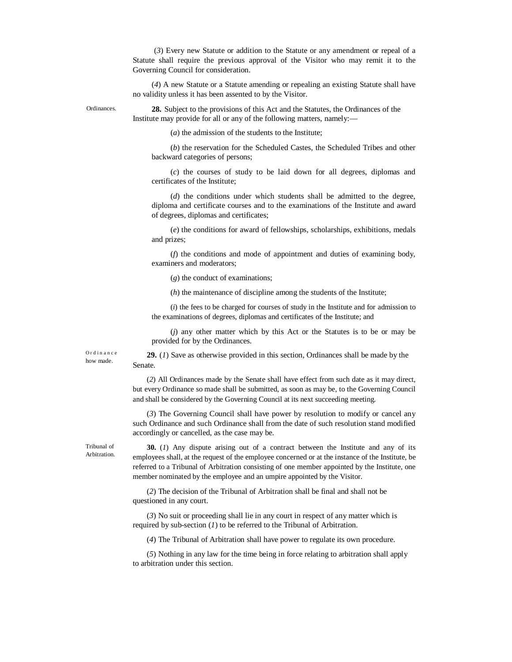(*3*) Every new Statute or addition to the Statute or any amendment or repeal of a Statute shall require the previous approval of the Visitor who may remit it to the Governing Council for consideration.

(*4*) A new Statute or a Statute amending or repealing an existing Statute shall have no validity unless it has been assented to by the Visitor.

Ordinances.

**28.** Subject to the provisions of this Act and the Statutes, the Ordinances of the Institute may provide for all or any of the following matters, namely:—

(*a*) the admission of the students to the Institute;

(*b*) the reservation for the Scheduled Castes, the Scheduled Tribes and other backward categories of persons;

(*c*) the courses of study to be laid down for all degrees, diplomas and certificates of the Institute;

(*d*) the conditions under which students shall be admitted to the degree, diploma and certificate courses and to the examinations of the Institute and award of degrees, diplomas and certificates;

(*e*) the conditions for award of fellowships, scholarships, exhibitions, medals and prizes;

(*f*) the conditions and mode of appointment and duties of examining body, examiners and moderators;

(*g*) the conduct of examinations;

(*h*) the maintenance of discipline among the students of the Institute;

(*i*) the fees to be charged for courses of study in the Institute and for admission to the examinations of degrees, diplomas and certificates of the Institute; and

(*j*) any other matter which by this Act or the Statutes is to be or may be provided for by the Ordinances.

O r d i n a n c e how made.

**29.** (*1*) Save as otherwise provided in this section, Ordinances shall be made by the Senate.

(*2*) All Ordinances made by the Senate shall have effect from such date as it may direct, but every Ordinance so made shall be submitted, as soon as may be, to the Governing Council and shall be considered by the Governing Council at its next succeeding meeting.

(*3*) The Governing Council shall have power by resolution to modify or cancel any such Ordinance and such Ordinance shall from the date of such resolution stand modified accordingly or cancelled, as the case may be.

Tribunal of Arbitration.

**30.** (*1*) Any dispute arising out of a contract between the Institute and any of its employees shall, at the request of the employee concerned or at the instance of the Institute, be referred to a Tribunal of Arbitration consisting of one member appointed by the Institute, one member nominated by the employee and an umpire appointed by the Visitor.

(*2*) The decision of the Tribunal of Arbitration shall be final and shall not be questioned in any court.

(*3*) No suit or proceeding shall lie in any court in respect of any matter which is required by sub-section (*1*) to be referred to the Tribunal of Arbitration.

(*4*) The Tribunal of Arbitration shall have power to regulate its own procedure.

(*5*) Nothing in any law for the time being in force relating to arbitration shall apply to arbitration under this section.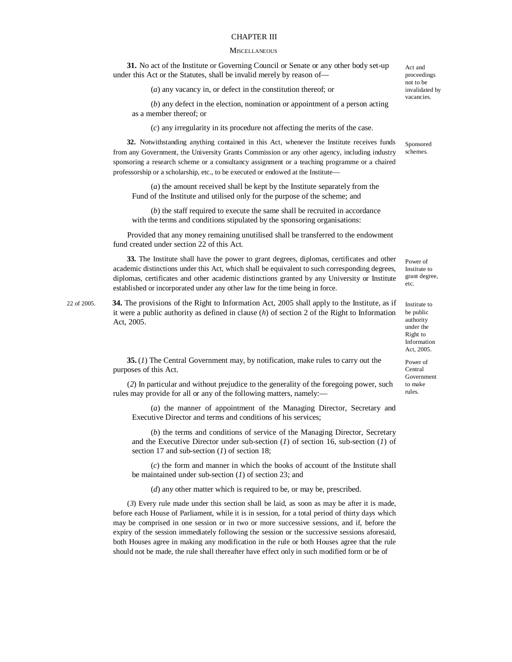#### CHAPTER III

#### **MISCELLANEOUS**

**31.** No act of the Institute or Governing Council or Senate or any other body set-up under this Act or the Statutes, shall be invalid merely by reason of—

(*a*) any vacancy in, or defect in the constitution thereof; or

(*b*) any defect in the election, nomination or appointment of a person acting as a member thereof; or

(*c*) any irregularity in its procedure not affecting the merits of the case.

**32.** Notwithstanding anything contained in this Act, whenever the Institute receives funds from any Government, the University Grants Commission or any other agency, including industry sponsoring a research scheme or a consultancy assignment or a teaching programme or a chaired professorship or a scholarship, etc., to be executed or endowed at the Institute—

(*a*) the amount received shall be kept by the Institute separately from the Fund of the Institute and utilised only for the purpose of the scheme; and

(*b*) the staff required to execute the same shall be recruited in accordance with the terms and conditions stipulated by the sponsoring organisations:

Provided that any money remaining unutilised shall be transferred to the endowment fund created under section 22 of this Act.

**33.** The Institute shall have the power to grant degrees, diplomas, certificates and other academic distinctions under this Act, which shall be equivalent to such corresponding degrees, diplomas, certificates and other academic distinctions granted by any University or Institute established or incorporated under any other law for the time being in force.

22 of 2005. **34.** The provisions of the Right to Information Act, 2005 shall apply to the Institute, as if it were a public authority as defined in clause (*h*) of section 2 of the Right to Information Act, 2005.

> **35.** (*1*) The Central Government may, by notification, make rules to carry out the purposes of this Act.

(*2*) In particular and without prejudice to the generality of the foregoing power, such rules may provide for all or any of the following matters, namely:—

(*a*) the manner of appointment of the Managing Director, Secretary and Executive Director and terms and conditions of his services;

(*b*) the terms and conditions of service of the Managing Director, Secretary and the Executive Director under sub-section (*1*) of section 16, sub-section (*1*) of section 17 and sub-section (*1*) of section 18;

(*c*) the form and manner in which the books of account of the Institute shall be maintained under sub-section (*1*) of section 23; and

(*d*) any other matter which is required to be, or may be, prescribed.

(*3*) Every rule made under this section shall be laid, as soon as may be after it is made, before each House of Parliament, while it is in session, for a total period of thirty days which may be comprised in one session or in two or more successive sessions, and if, before the expiry of the session immediately following the session or the successive sessions aforesaid, both Houses agree in making any modification in the rule or both Houses agree that the rule should not be made, the rule shall thereafter have effect only in such modified form or be of

Act and proceedings not to be invalidated by vacancies.

Sponsored schemes.

Power of Institute to grant degree, etc.

Institute to be public authority under the Right to Information Act, 2005.

Power of Central Government to make rules.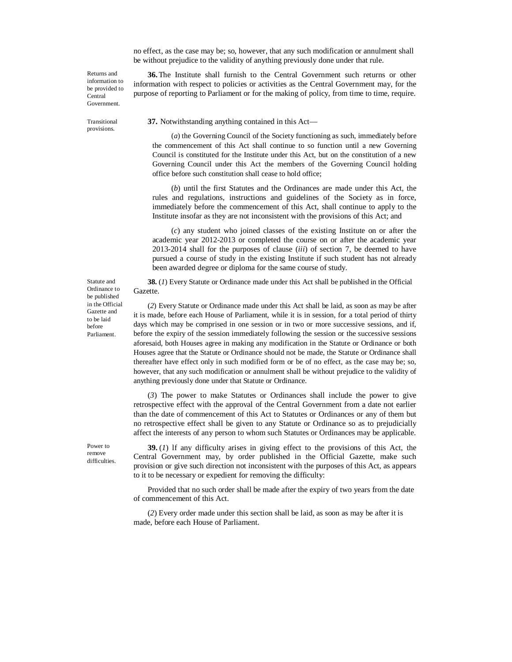no effect, as the case may be; so, however, that any such modification or annulment shall be without prejudice to the validity of anything previously done under that rule.

**36.**The Institute shall furnish to the Central Government such returns or other information with respect to policies or activities as the Central Government may, for the purpose of reporting to Parliament or for the making of policy, from time to time, require.

Returns and information to be provided to Central Government.

Transitional provisions.

**37.** Notwithstanding anything contained in this Act—

(*a*) the Governing Council of the Society functioning as such, immediately before the commencement of this Act shall continue to so function until a new Governing Council is constituted for the Institute under this Act, but on the constitution of a new Governing Council under this Act the members of the Governing Council holding office before such constitution shall cease to hold office;

(*b*) until the first Statutes and the Ordinances are made under this Act, the rules and regulations, instructions and guidelines of the Society as in force, immediately before the commencement of this Act, shall continue to apply to the Institute insofar as they are not inconsistent with the provisions of this Act; and

(*c*) any student who joined classes of the existing Institute on or after the academic year 2012-2013 or completed the course on or after the academic year 2013-2014 shall for the purposes of clause (*iii*) of section 7, be deemed to have pursued a course of study in the existing Institute if such student has not already been awarded degree or diploma for the same course of study.

**38.** (*1*) Every Statute or Ordinance made under this Act shall be published in the Official Gazette.

(*2*) Every Statute or Ordinance made under this Act shall be laid, as soon as may be after it is made, before each House of Parliament, while it is in session, for a total period of thirty days which may be comprised in one session or in two or more successive sessions, and if, before the expiry of the session immediately following the session or the successive sessions aforesaid, both Houses agree in making any modification in the Statute or Ordinance or both Houses agree that the Statute or Ordinance should not be made, the Statute or Ordinance shall thereafter have effect only in such modified form or be of no effect, as the case may be; so, however, that any such modification or annulment shall be without prejudice to the validity of anything previously done under that Statute or Ordinance.

(*3*) The power to make Statutes or Ordinances shall include the power to give retrospective effect with the approval of the Central Government from a date not earlier than the date of commencement of this Act to Statutes or Ordinances or any of them but no retrospective effect shall be given to any Statute or Ordinance so as to prejudicially affect the interests of any person to whom such Statutes or Ordinances may be applicable.

Power to remove difficulties.

**39.** (*1*) lf any difficulty arises in giving effect to the provisions of this Act, the Central Government may, by order published in the Official Gazette, make such provision or give such direction not inconsistent with the purposes of this Act, as appears to it to be necessary or expedient for removing the difficulty:

Provided that no such order shall be made after the expiry of two years from the date of commencement of this Act.

(*2*) Every order made under this section shall be laid, as soon as may be after it is made, before each House of Parliament.

Ordinance to be published in the Official Gazette and to be laid before Parliament.

Statute and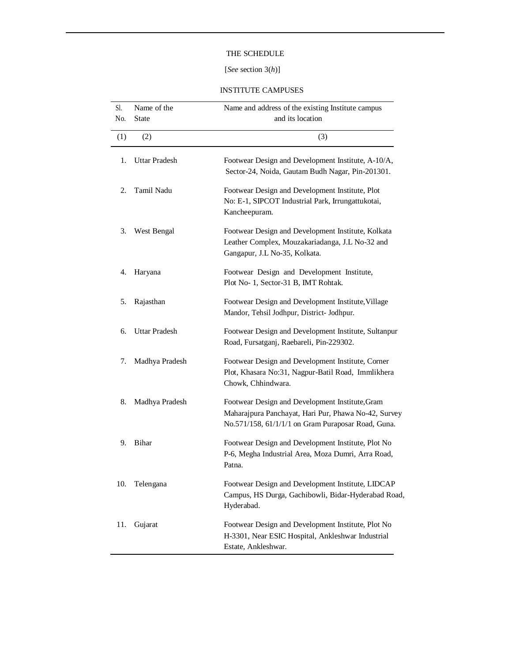## THE SCHEDULE

## [*See* section 3(*h*)]

### INSTITUTE CAMPUSES

| Sl. | Name of the          | Name and address of the existing Institute campus                                                                                                             |
|-----|----------------------|---------------------------------------------------------------------------------------------------------------------------------------------------------------|
| No. | State                | and its location                                                                                                                                              |
| (1) | (2)                  | (3)                                                                                                                                                           |
| 1.  | <b>Uttar Pradesh</b> | Footwear Design and Development Institute, A-10/A,<br>Sector-24, Noida, Gautam Budh Nagar, Pin-201301.                                                        |
| 2.  | Tamil Nadu           | Footwear Design and Development Institute, Plot<br>No: E-1, SIPCOT Industrial Park, Irrungattukotai,<br>Kancheepuram.                                         |
| 3.  | West Bengal          | Footwear Design and Development Institute, Kolkata<br>Leather Complex, Mouzakariadanga, J.L No-32 and<br>Gangapur, J.L No-35, Kolkata.                        |
| 4.  | Haryana              | Footwear Design and Development Institute,<br>Plot No- 1, Sector-31 B, IMT Rohtak.                                                                            |
| 5.  | Rajasthan            | Footwear Design and Development Institute, Village<br>Mandor, Tehsil Jodhpur, District- Jodhpur.                                                              |
| 6.  | <b>Uttar Pradesh</b> | Footwear Design and Development Institute, Sultanpur<br>Road, Fursatganj, Raebareli, Pin-229302.                                                              |
| 7.  | Madhya Pradesh       | Footwear Design and Development Institute, Corner<br>Plot, Khasara No:31, Nagpur-Batil Road, Immlikhera<br>Chowk, Chhindwara.                                 |
| 8.  | Madhya Pradesh       | Footwear Design and Development Institute, Gram<br>Maharajpura Panchayat, Hari Pur, Phawa No-42, Survey<br>No.571/158, 61/1/1/1 on Gram Puraposar Road, Guna. |
| 9.  | Bihar                | Footwear Design and Development Institute, Plot No<br>P-6, Megha Industrial Area, Moza Dumri, Arra Road,<br>Patna.                                            |
| 10. | Telengana            | Footwear Design and Development Institute, LIDCAP<br>Campus, HS Durga, Gachibowli, Bidar-Hyderabad Road,<br>Hyderabad.                                        |
| 11. | Gujarat              | Footwear Design and Development Institute, Plot No<br>H-3301, Near ESIC Hospital, Ankleshwar Industrial<br>Estate, Ankleshwar.                                |